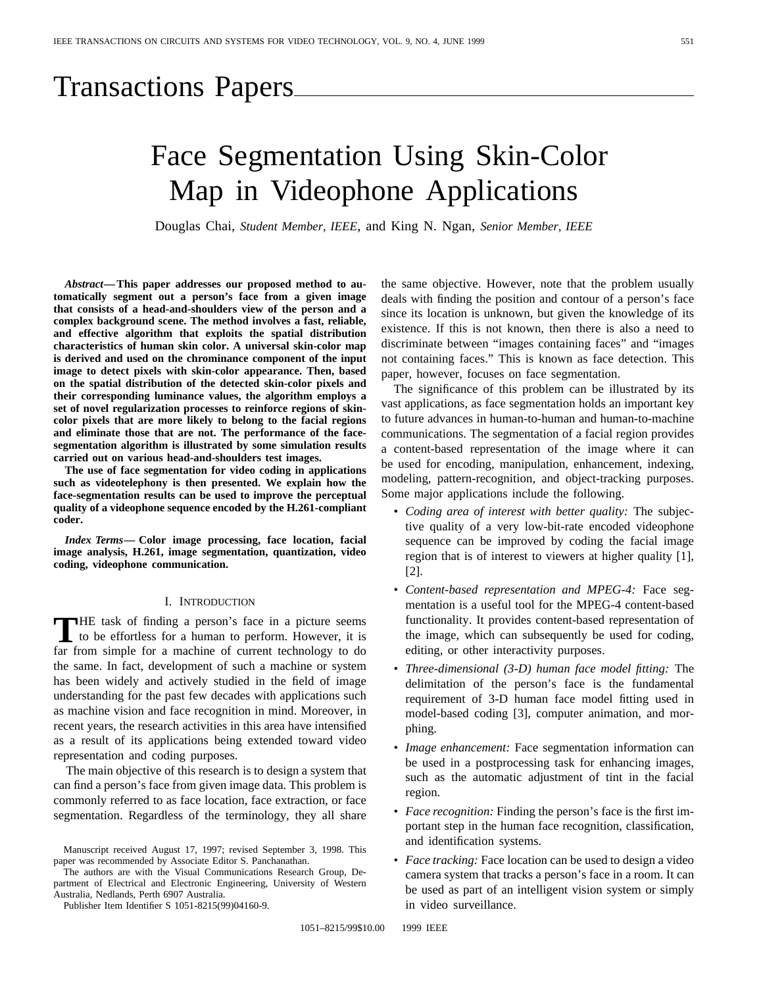# Transactions Papers

# Face Segmentation Using Skin-Color Map in Videophone Applications

Douglas Chai, *Student Member, IEEE*, and King N. Ngan, *Senior Member, IEEE*

*Abstract—***This paper addresses our proposed method to automatically segment out a person's face from a given image that consists of a head-and-shoulders view of the person and a complex background scene. The method involves a fast, reliable, and effective algorithm that exploits the spatial distribution characteristics of human skin color. A universal skin-color map is derived and used on the chrominance component of the input image to detect pixels with skin-color appearance. Then, based on the spatial distribution of the detected skin-color pixels and their corresponding luminance values, the algorithm employs a set of novel regularization processes to reinforce regions of skincolor pixels that are more likely to belong to the facial regions and eliminate those that are not. The performance of the facesegmentation algorithm is illustrated by some simulation results carried out on various head-and-shoulders test images.**

**The use of face segmentation for video coding in applications such as videotelephony is then presented. We explain how the face-segmentation results can be used to improve the perceptual quality of a videophone sequence encoded by the H.261-compliant coder.**

*Index Terms—* **Color image processing, face location, facial image analysis, H.261, image segmentation, quantization, video coding, videophone communication.**

#### I. INTRODUCTION

THE task of finding a person's face in a picture seems<br>to be effortless for a human to perform. However, it is far from simple for a machine of current technology to do the same. In fact, development of such a machine or system has been widely and actively studied in the field of image understanding for the past few decades with applications such as machine vision and face recognition in mind. Moreover, in recent years, the research activities in this area have intensified as a result of its applications being extended toward video representation and coding purposes.

The main objective of this research is to design a system that can find a person's face from given image data. This problem is commonly referred to as face location, face extraction, or face segmentation. Regardless of the terminology, they all share

The authors are with the Visual Communications Research Group, Department of Electrical and Electronic Engineering, University of Western Australia, Nedlands, Perth 6907 Australia.

Publisher Item Identifier S 1051-8215(99)04160-9.

the same objective. However, note that the problem usually deals with finding the position and contour of a person's face since its location is unknown, but given the knowledge of its existence. If this is not known, then there is also a need to discriminate between "images containing faces" and "images not containing faces." This is known as face detection. This paper, however, focuses on face segmentation.

The significance of this problem can be illustrated by its vast applications, as face segmentation holds an important key to future advances in human-to-human and human-to-machine communications. The segmentation of a facial region provides a content-based representation of the image where it can be used for encoding, manipulation, enhancement, indexing, modeling, pattern-recognition, and object-tracking purposes. Some major applications include the following.

- *Coding area of interest with better quality:* The subjective quality of a very low-bit-rate encoded videophone sequence can be improved by coding the facial image region that is of interest to viewers at higher quality [1], [2].
- *Content-based representation and MPEG-4:* Face segmentation is a useful tool for the MPEG-4 content-based functionality. It provides content-based representation of the image, which can subsequently be used for coding, editing, or other interactivity purposes.
- *Three-dimensional (3-D) human face model fitting:* The delimitation of the person's face is the fundamental requirement of 3-D human face model fitting used in model-based coding [3], computer animation, and morphing.
- *Image enhancement:* Face segmentation information can be used in a postprocessing task for enhancing images, such as the automatic adjustment of tint in the facial region.
- *Face recognition:* Finding the person's face is the first important step in the human face recognition, classification, and identification systems.
- *Face tracking:* Face location can be used to design a video camera system that tracks a person's face in a room. It can be used as part of an intelligent vision system or simply in video surveillance.

Manuscript received August 17, 1997; revised September 3, 1998. This paper was recommended by Associate Editor S. Panchanathan.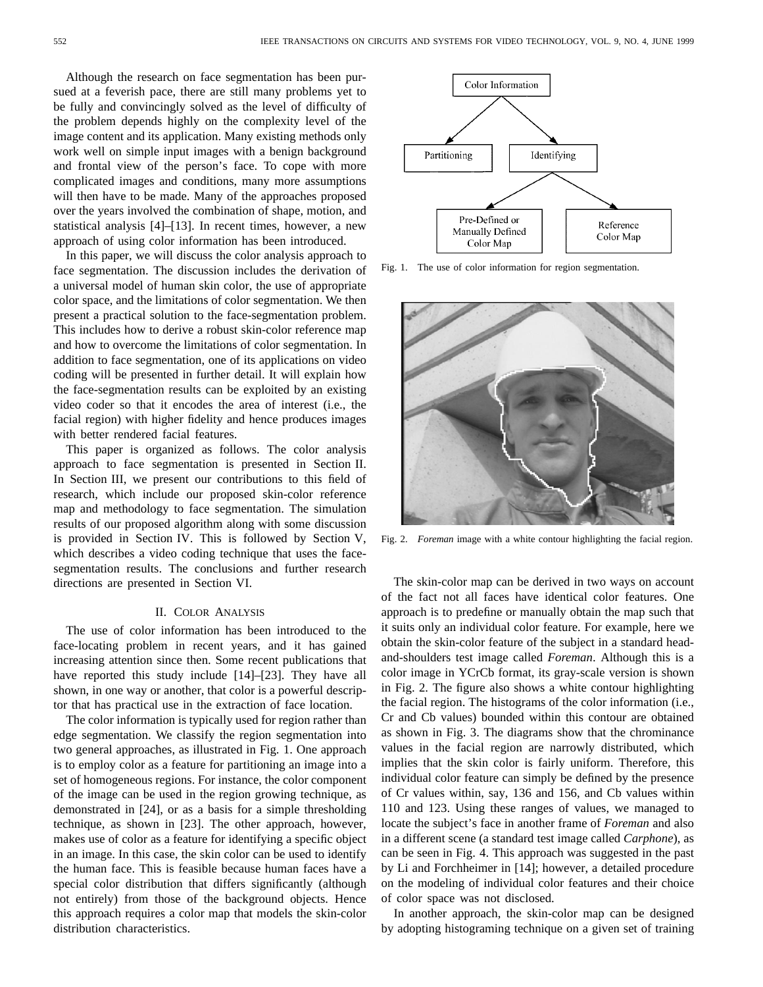Although the research on face segmentation has been pursued at a feverish pace, there are still many problems yet to be fully and convincingly solved as the level of difficulty of the problem depends highly on the complexity level of the image content and its application. Many existing methods only work well on simple input images with a benign background and frontal view of the person's face. To cope with more complicated images and conditions, many more assumptions will then have to be made. Many of the approaches proposed over the years involved the combination of shape, motion, and statistical analysis [4]–[13]. In recent times, however, a new approach of using color information has been introduced.

In this paper, we will discuss the color analysis approach to face segmentation. The discussion includes the derivation of a universal model of human skin color, the use of appropriate color space, and the limitations of color segmentation. We then present a practical solution to the face-segmentation problem. This includes how to derive a robust skin-color reference map and how to overcome the limitations of color segmentation. In addition to face segmentation, one of its applications on video coding will be presented in further detail. It will explain how the face-segmentation results can be exploited by an existing video coder so that it encodes the area of interest (i.e., the facial region) with higher fidelity and hence produces images with better rendered facial features.

This paper is organized as follows. The color analysis approach to face segmentation is presented in Section II. In Section III, we present our contributions to this field of research, which include our proposed skin-color reference map and methodology to face segmentation. The simulation results of our proposed algorithm along with some discussion is provided in Section IV. This is followed by Section V, which describes a video coding technique that uses the facesegmentation results. The conclusions and further research directions are presented in Section VI.

#### II. COLOR ANALYSIS

The use of color information has been introduced to the face-locating problem in recent years, and it has gained increasing attention since then. Some recent publications that have reported this study include [14]–[23]. They have all shown, in one way or another, that color is a powerful descriptor that has practical use in the extraction of face location.

The color information is typically used for region rather than edge segmentation. We classify the region segmentation into two general approaches, as illustrated in Fig. 1. One approach is to employ color as a feature for partitioning an image into a set of homogeneous regions. For instance, the color component of the image can be used in the region growing technique, as demonstrated in [24], or as a basis for a simple thresholding technique, as shown in [23]. The other approach, however, makes use of color as a feature for identifying a specific object in an image. In this case, the skin color can be used to identify the human face. This is feasible because human faces have a special color distribution that differs significantly (although not entirely) from those of the background objects. Hence this approach requires a color map that models the skin-color distribution characteristics.



Fig. 1. The use of color information for region segmentation.



Fig. 2. *Foreman* image with a white contour highlighting the facial region.

The skin-color map can be derived in two ways on account of the fact not all faces have identical color features. One approach is to predefine or manually obtain the map such that it suits only an individual color feature. For example, here we obtain the skin-color feature of the subject in a standard headand-shoulders test image called *Foreman*. Although this is a color image in YCrCb format, its gray-scale version is shown in Fig. 2. The figure also shows a white contour highlighting the facial region. The histograms of the color information (i.e., Cr and Cb values) bounded within this contour are obtained as shown in Fig. 3. The diagrams show that the chrominance values in the facial region are narrowly distributed, which implies that the skin color is fairly uniform. Therefore, this individual color feature can simply be defined by the presence of Cr values within, say, 136 and 156, and Cb values within 110 and 123. Using these ranges of values, we managed to locate the subject's face in another frame of *Foreman* and also in a different scene (a standard test image called *Carphone*), as can be seen in Fig. 4. This approach was suggested in the past by Li and Forchheimer in [14]; however, a detailed procedure on the modeling of individual color features and their choice of color space was not disclosed.

In another approach, the skin-color map can be designed by adopting histograming technique on a given set of training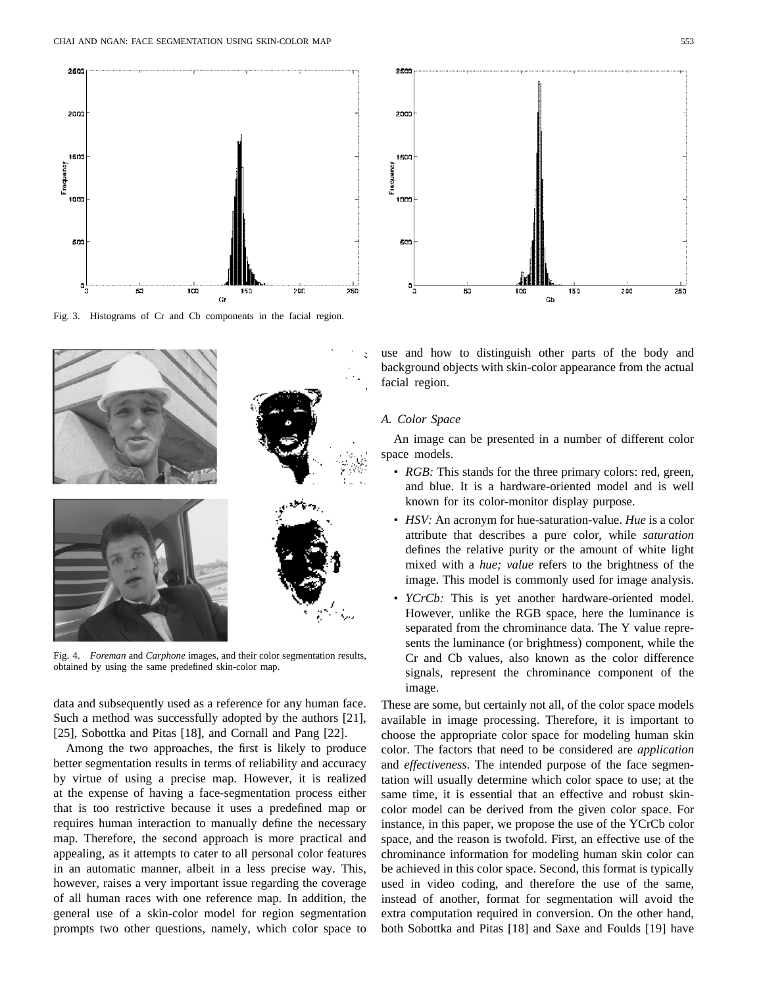

Fig. 3. Histograms of Cr and Cb components in the facial region.



Fig. 4. *Foreman* and *Carphone* images, and their color segmentation results, obtained by using the same predefined skin-color map.

data and subsequently used as a reference for any human face. Such a method was successfully adopted by the authors [21], [25], Sobottka and Pitas [18], and Cornall and Pang [22].

Among the two approaches, the first is likely to produce better segmentation results in terms of reliability and accuracy by virtue of using a precise map. However, it is realized at the expense of having a face-segmentation process either that is too restrictive because it uses a predefined map or requires human interaction to manually define the necessary map. Therefore, the second approach is more practical and appealing, as it attempts to cater to all personal color features in an automatic manner, albeit in a less precise way. This, however, raises a very important issue regarding the coverage of all human races with one reference map. In addition, the general use of a skin-color model for region segmentation prompts two other questions, namely, which color space to



use and how to distinguish other parts of the body and background objects with skin-color appearance from the actual facial region.

#### *A. Color Space*

An image can be presented in a number of different color space models.

- *RGB:* This stands for the three primary colors: red, green, and blue. It is a hardware-oriented model and is well known for its color-monitor display purpose.
- *HSV:* An acronym for hue-saturation-value. *Hue* is a color attribute that describes a pure color, while *saturation* defines the relative purity or the amount of white light mixed with a *hue; value* refers to the brightness of the image. This model is commonly used for image analysis.
- *YCrCb*: This is yet another hardware-oriented model. However, unlike the RGB space, here the luminance is separated from the chrominance data. The Y value represents the luminance (or brightness) component, while the Cr and Cb values, also known as the color difference signals, represent the chrominance component of the image.

These are some, but certainly not all, of the color space models available in image processing. Therefore, it is important to choose the appropriate color space for modeling human skin color. The factors that need to be considered are *application* and *effectiveness*. The intended purpose of the face segmentation will usually determine which color space to use; at the same time, it is essential that an effective and robust skincolor model can be derived from the given color space. For instance, in this paper, we propose the use of the YCrCb color space, and the reason is twofold. First, an effective use of the chrominance information for modeling human skin color can be achieved in this color space. Second, this format is typically used in video coding, and therefore the use of the same, instead of another, format for segmentation will avoid the extra computation required in conversion. On the other hand, both Sobottka and Pitas [18] and Saxe and Foulds [19] have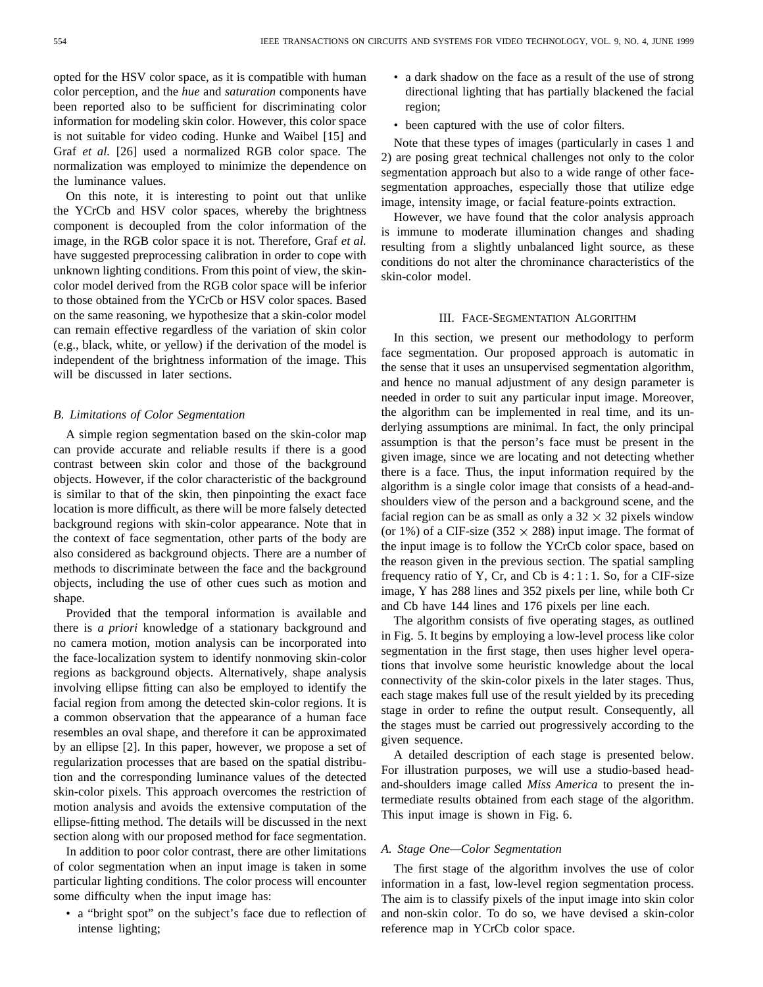opted for the HSV color space, as it is compatible with human color perception, and the *hue* and *saturation* components have been reported also to be sufficient for discriminating color information for modeling skin color. However, this color space is not suitable for video coding. Hunke and Waibel [15] and Graf *et al.* [26] used a normalized RGB color space. The normalization was employed to minimize the dependence on the luminance values.

On this note, it is interesting to point out that unlike the YCrCb and HSV color spaces, whereby the brightness component is decoupled from the color information of the image, in the RGB color space it is not. Therefore, Graf *et al.* have suggested preprocessing calibration in order to cope with unknown lighting conditions. From this point of view, the skincolor model derived from the RGB color space will be inferior to those obtained from the YCrCb or HSV color spaces. Based on the same reasoning, we hypothesize that a skin-color model can remain effective regardless of the variation of skin color (e.g., black, white, or yellow) if the derivation of the model is independent of the brightness information of the image. This will be discussed in later sections.

## *B. Limitations of Color Segmentation*

A simple region segmentation based on the skin-color map can provide accurate and reliable results if there is a good contrast between skin color and those of the background objects. However, if the color characteristic of the background is similar to that of the skin, then pinpointing the exact face location is more difficult, as there will be more falsely detected background regions with skin-color appearance. Note that in the context of face segmentation, other parts of the body are also considered as background objects. There are a number of methods to discriminate between the face and the background objects, including the use of other cues such as motion and shape.

Provided that the temporal information is available and there is *a priori* knowledge of a stationary background and no camera motion, motion analysis can be incorporated into the face-localization system to identify nonmoving skin-color regions as background objects. Alternatively, shape analysis involving ellipse fitting can also be employed to identify the facial region from among the detected skin-color regions. It is a common observation that the appearance of a human face resembles an oval shape, and therefore it can be approximated by an ellipse [2]. In this paper, however, we propose a set of regularization processes that are based on the spatial distribution and the corresponding luminance values of the detected skin-color pixels. This approach overcomes the restriction of motion analysis and avoids the extensive computation of the ellipse-fitting method. The details will be discussed in the next section along with our proposed method for face segmentation.

In addition to poor color contrast, there are other limitations of color segmentation when an input image is taken in some particular lighting conditions. The color process will encounter some difficulty when the input image has:

• a "bright spot" on the subject's face due to reflection of intense lighting;

- a dark shadow on the face as a result of the use of strong directional lighting that has partially blackened the facial region;
- been captured with the use of color filters.

Note that these types of images (particularly in cases 1 and 2) are posing great technical challenges not only to the color segmentation approach but also to a wide range of other facesegmentation approaches, especially those that utilize edge image, intensity image, or facial feature-points extraction.

However, we have found that the color analysis approach is immune to moderate illumination changes and shading resulting from a slightly unbalanced light source, as these conditions do not alter the chrominance characteristics of the skin-color model.

#### III. FACE-SEGMENTATION ALGORITHM

In this section, we present our methodology to perform face segmentation. Our proposed approach is automatic in the sense that it uses an unsupervised segmentation algorithm, and hence no manual adjustment of any design parameter is needed in order to suit any particular input image. Moreover, the algorithm can be implemented in real time, and its underlying assumptions are minimal. In fact, the only principal assumption is that the person's face must be present in the given image, since we are locating and not detecting whether there is a face. Thus, the input information required by the algorithm is a single color image that consists of a head-andshoulders view of the person and a background scene, and the facial region can be as small as only a  $32 \times 32$  pixels window (or 1%) of a CIF-size (352  $\times$  288) input image. The format of the input image is to follow the YCrCb color space, based on the reason given in the previous section. The spatial sampling frequency ratio of Y, Cr, and Cb is  $4:1:1$ . So, for a CIF-size image, Y has 288 lines and 352 pixels per line, while both Cr and Cb have 144 lines and 176 pixels per line each.

The algorithm consists of five operating stages, as outlined in Fig. 5. It begins by employing a low-level process like color segmentation in the first stage, then uses higher level operations that involve some heuristic knowledge about the local connectivity of the skin-color pixels in the later stages. Thus, each stage makes full use of the result yielded by its preceding stage in order to refine the output result. Consequently, all the stages must be carried out progressively according to the given sequence.

A detailed description of each stage is presented below. For illustration purposes, we will use a studio-based headand-shoulders image called *Miss America* to present the intermediate results obtained from each stage of the algorithm. This input image is shown in Fig. 6.

#### *A. Stage One—Color Segmentation*

The first stage of the algorithm involves the use of color information in a fast, low-level region segmentation process. The aim is to classify pixels of the input image into skin color and non-skin color. To do so, we have devised a skin-color reference map in YCrCb color space.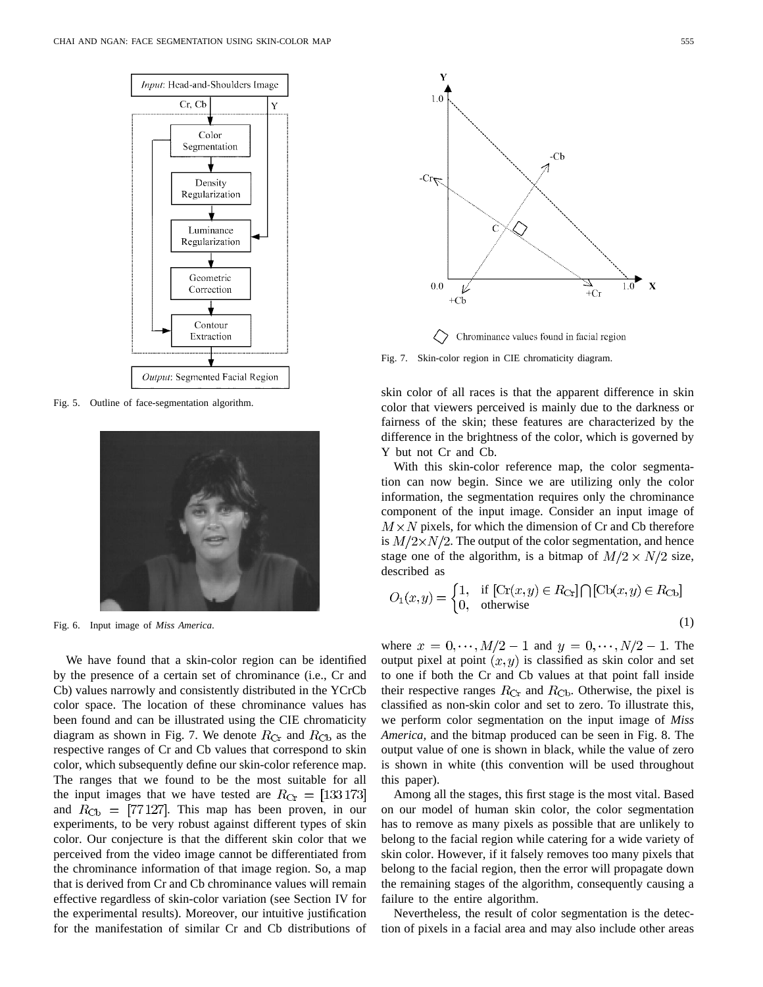

Fig. 5. Outline of face-segmentation algorithm.



Fig. 6. Input image of *Miss America*.

We have found that a skin-color region can be identified by the presence of a certain set of chrominance (i.e., Cr and Cb) values narrowly and consistently distributed in the YCrCb color space. The location of these chrominance values has been found and can be illustrated using the CIE chromaticity diagram as shown in Fig. 7. We denote  $R_{Cr}$  and  $R_{Cb}$  as the respective ranges of Cr and Cb values that correspond to skin color, which subsequently define our skin-color reference map. The ranges that we found to be the most suitable for all the input images that we have tested are  $R_{\rm Cr} = [133173]$ and  $R_{\text{Cb}} = [77127]$ . This map has been proven, in our experiments, to be very robust against different types of skin color. Our conjecture is that the different skin color that we perceived from the video image cannot be differentiated from the chrominance information of that image region. So, a map that is derived from Cr and Cb chrominance values will remain effective regardless of skin-color variation (see Section IV for the experimental results). Moreover, our intuitive justification for the manifestation of similar Cr and Cb distributions of



Chrominance values found in facial region  $\langle \rangle$ 

Fig. 7. Skin-color region in CIE chromaticity diagram.

skin color of all races is that the apparent difference in skin color that viewers perceived is mainly due to the darkness or fairness of the skin; these features are characterized by the difference in the brightness of the color, which is governed by Y but not Cr and Cb.

With this skin-color reference map, the color segmentation can now begin. Since we are utilizing only the color information, the segmentation requires only the chrominance component of the input image. Consider an input image of  $M \times N$  pixels, for which the dimension of Cr and Cb therefore is  $M/2\times N/2$ . The output of the color segmentation, and hence stage one of the algorithm, is a bitmap of  $M/2 \times N/2$  size, described as

$$
O_1(x, y) = \begin{cases} 1, & \text{if } [\text{Cr}(x, y) \in R_{\text{Cr}}] \cap [\text{Cb}(x, y) \in R_{\text{Cb}}] \\ 0, & \text{otherwise} \end{cases} \tag{1}
$$

where  $x = 0, \dots, M/2 - 1$  and  $y = 0, \dots, N/2 - 1$ . The output pixel at point  $(x, y)$  is classified as skin color and set to one if both the Cr and Cb values at that point fall inside their respective ranges  $R_{Cr}$  and  $R_{Cb}$ . Otherwise, the pixel is classified as non-skin color and set to zero. To illustrate this, we perform color segmentation on the input image of *Miss America,* and the bitmap produced can be seen in Fig. 8. The output value of one is shown in black, while the value of zero is shown in white (this convention will be used throughout this paper).

Among all the stages, this first stage is the most vital. Based on our model of human skin color, the color segmentation has to remove as many pixels as possible that are unlikely to belong to the facial region while catering for a wide variety of skin color. However, if it falsely removes too many pixels that belong to the facial region, then the error will propagate down the remaining stages of the algorithm, consequently causing a failure to the entire algorithm.

Nevertheless, the result of color segmentation is the detection of pixels in a facial area and may also include other areas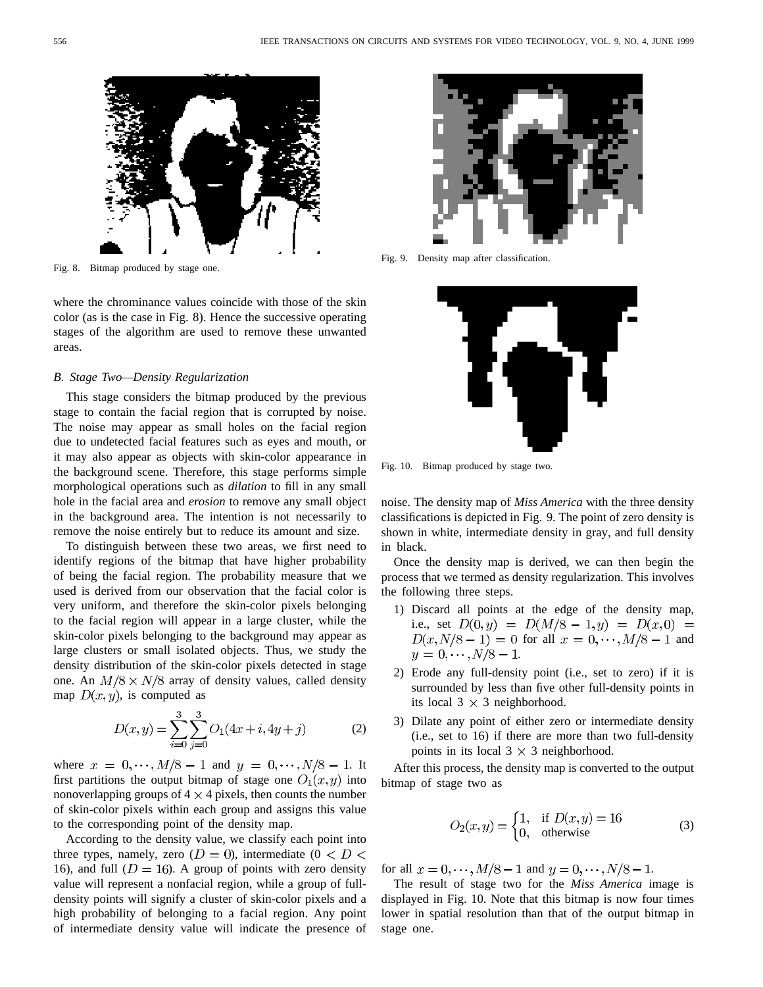

Fig. 8. Bitmap produced by stage one.

where the chrominance values coincide with those of the skin color (as is the case in Fig. 8). Hence the successive operating stages of the algorithm are used to remove these unwanted areas.

#### *B. Stage Two—Density Regularization*

This stage considers the bitmap produced by the previous stage to contain the facial region that is corrupted by noise. The noise may appear as small holes on the facial region due to undetected facial features such as eyes and mouth, or it may also appear as objects with skin-color appearance in the background scene. Therefore, this stage performs simple morphological operations such as *dilation* to fill in any small hole in the facial area and *erosion* to remove any small object in the background area. The intention is not necessarily to remove the noise entirely but to reduce its amount and size.

To distinguish between these two areas, we first need to identify regions of the bitmap that have higher probability of being the facial region. The probability measure that we used is derived from our observation that the facial color is very uniform, and therefore the skin-color pixels belonging to the facial region will appear in a large cluster, while the skin-color pixels belonging to the background may appear as large clusters or small isolated objects. Thus, we study the density distribution of the skin-color pixels detected in stage one. An  $M/8 \times N/8$  array of density values, called density map  $D(x, y)$ , is computed as

$$
D(x,y) = \sum_{i=0}^{3} \sum_{j=0}^{3} O_1(4x+i, 4y+j)
$$
 (2)

where  $x = 0, \dots, M/8 - 1$  and  $y = 0, \dots, N/8 - 1$ . It first partitions the output bitmap of stage one  $O_1(x, y)$  into nonoverlapping groups of  $4 \times 4$  pixels, then counts the number of skin-color pixels within each group and assigns this value to the corresponding point of the density map.

According to the density value, we classify each point into three types, namely, zero  $(D = 0)$ , intermediate  $(0 < D <$ 16), and full  $(D = 16)$ . A group of points with zero density value will represent a nonfacial region, while a group of fulldensity points will signify a cluster of skin-color pixels and a high probability of belonging to a facial region. Any point of intermediate density value will indicate the presence of



Fig. 9. Density map after classification.



Fig. 10. Bitmap produced by stage two.

noise. The density map of *Miss America* with the three density classifications is depicted in Fig. 9. The point of zero density is shown in white, intermediate density in gray, and full density in black.

Once the density map is derived, we can then begin the process that we termed as density regularization. This involves the following three steps.

- 1) Discard all points at the edge of the density map, i.e., set  $D(0, y) = D(M/8 - 1, y) = D(x, 0) =$  $D(x, N/8 - 1) = 0$  for all  $x = 0, \dots, M/8 - 1$  and  $y = 0, \dots, N/8 - 1.$
- 2) Erode any full-density point (i.e., set to zero) if it is surrounded by less than five other full-density points in its local  $3 \times 3$  neighborhood.
- 3) Dilate any point of either zero or intermediate density (i.e., set to 16) if there are more than two full-density points in its local  $3 \times 3$  neighborhood.

After this process, the density map is converted to the output bitmap of stage two as

$$
O_2(x, y) = \begin{cases} 1, & \text{if } D(x, y) = 16\\ 0, & \text{otherwise} \end{cases}
$$
 (3)

for all  $x = 0, \dots, M/8 - 1$  and  $y = 0, \dots, N/8 - 1$ .

The result of stage two for the *Miss America* image is displayed in Fig. 10. Note that this bitmap is now four times lower in spatial resolution than that of the output bitmap in stage one.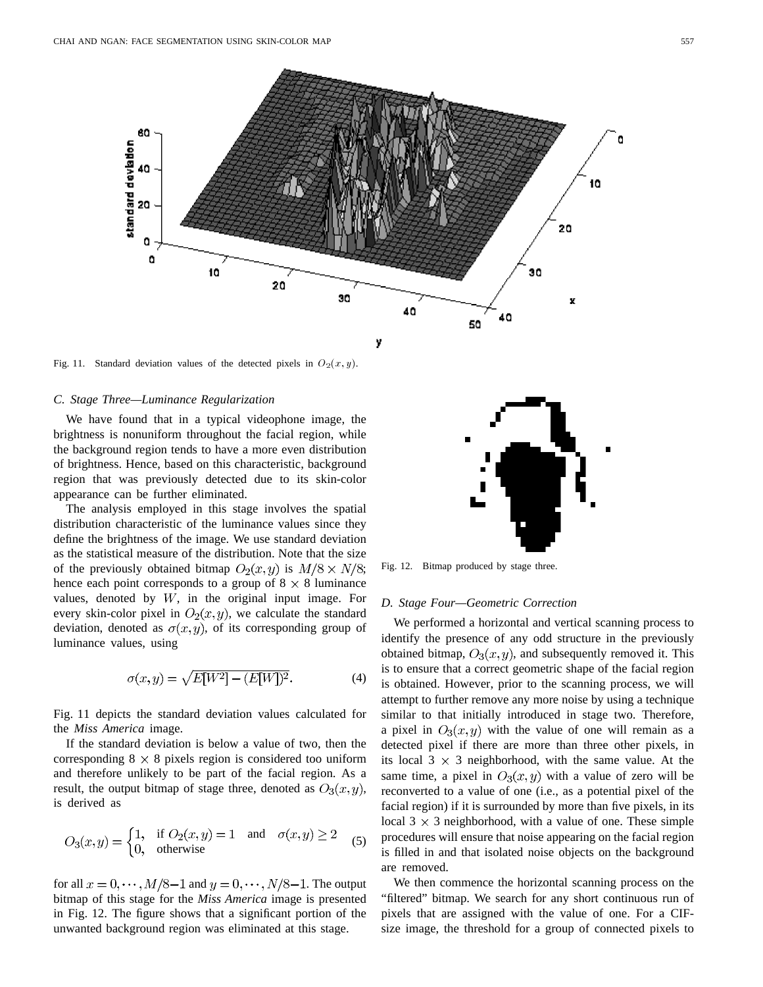

Fig. 11. Standard deviation values of the detected pixels in  $O_2(x, y)$ .

#### *C. Stage Three—Luminance Regularization*

We have found that in a typical videophone image, the brightness is nonuniform throughout the facial region, while the background region tends to have a more even distribution of brightness. Hence, based on this characteristic, background region that was previously detected due to its skin-color appearance can be further eliminated.

The analysis employed in this stage involves the spatial distribution characteristic of the luminance values since they define the brightness of the image. We use standard deviation as the statistical measure of the distribution. Note that the size of the previously obtained bitmap  $O_2(x, y)$  is  $M/8 \times N/8$ ; hence each point corresponds to a group of  $8 \times 8$  luminance values, denoted by  $W$ , in the original input image. For every skin-color pixel in  $O_2(x, y)$ , we calculate the standard deviation, denoted as  $\sigma(x, y)$ , of its corresponding group of luminance values, using

$$
\sigma(x, y) = \sqrt{E[W^2] - (E[W])^2}.
$$
 (4)

Fig. 11 depicts the standard deviation values calculated for the *Miss America* image.

If the standard deviation is below a value of two, then the corresponding  $8 \times 8$  pixels region is considered too uniform and therefore unlikely to be part of the facial region. As a result, the output bitmap of stage three, denoted as  $O_3(x, y)$ , is derived as

$$
O_3(x,y) = \begin{cases} 1, & \text{if } O_2(x,y) = 1 \quad \text{and} \quad \sigma(x,y) \ge 2\\ 0, & \text{otherwise} \end{cases} \tag{5}
$$

for all  $x = 0, \dots, M/8-1$  and  $y = 0, \dots, N/8-1$ . The output bitmap of this stage for the *Miss America* image is presented in Fig. 12. The figure shows that a significant portion of the unwanted background region was eliminated at this stage.



Fig. 12. Bitmap produced by stage three.

#### *D. Stage Four—Geometric Correction*

We performed a horizontal and vertical scanning process to identify the presence of any odd structure in the previously obtained bitmap,  $O_3(x, y)$ , and subsequently removed it. This is to ensure that a correct geometric shape of the facial region is obtained. However, prior to the scanning process, we will attempt to further remove any more noise by using a technique similar to that initially introduced in stage two. Therefore, a pixel in  $O_3(x, y)$  with the value of one will remain as a detected pixel if there are more than three other pixels, in its local  $3 \times 3$  neighborhood, with the same value. At the same time, a pixel in  $O_3(x, y)$  with a value of zero will be reconverted to a value of one (i.e., as a potential pixel of the facial region) if it is surrounded by more than five pixels, in its local  $3 \times 3$  neighborhood, with a value of one. These simple procedures will ensure that noise appearing on the facial region is filled in and that isolated noise objects on the background are removed.

We then commence the horizontal scanning process on the "filtered" bitmap. We search for any short continuous run of pixels that are assigned with the value of one. For a CIFsize image, the threshold for a group of connected pixels to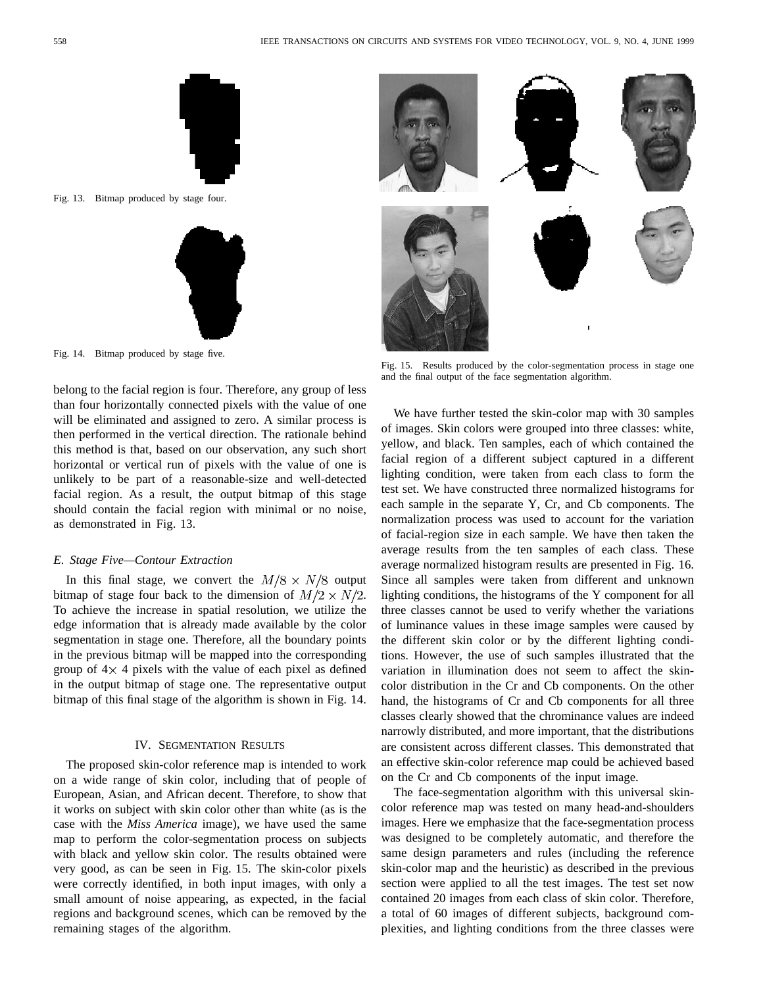

Fig. 13. Bitmap produced by stage four.





Fig. 14. Bitmap produced by stage five.

belong to the facial region is four. Therefore, any group of less than four horizontally connected pixels with the value of one will be eliminated and assigned to zero. A similar process is then performed in the vertical direction. The rationale behind this method is that, based on our observation, any such short horizontal or vertical run of pixels with the value of one is unlikely to be part of a reasonable-size and well-detected facial region. As a result, the output bitmap of this stage should contain the facial region with minimal or no noise, as demonstrated in Fig. 13.

#### *E. Stage Five—Contour Extraction*

In this final stage, we convert the  $M/8 \times N/8$  output bitmap of stage four back to the dimension of  $M/2 \times N/2$ . To achieve the increase in spatial resolution, we utilize the edge information that is already made available by the color segmentation in stage one. Therefore, all the boundary points in the previous bitmap will be mapped into the corresponding group of  $4 \times 4$  pixels with the value of each pixel as defined in the output bitmap of stage one. The representative output bitmap of this final stage of the algorithm is shown in Fig. 14.

#### IV. SEGMENTATION RESULTS

The proposed skin-color reference map is intended to work on a wide range of skin color, including that of people of European, Asian, and African decent. Therefore, to show that it works on subject with skin color other than white (as is the case with the *Miss America* image), we have used the same map to perform the color-segmentation process on subjects with black and yellow skin color. The results obtained were very good, as can be seen in Fig. 15. The skin-color pixels were correctly identified, in both input images, with only a small amount of noise appearing, as expected, in the facial regions and background scenes, which can be removed by the remaining stages of the algorithm.

Fig. 15. Results produced by the color-segmentation process in stage one and the final output of the face segmentation algorithm.

We have further tested the skin-color map with 30 samples of images. Skin colors were grouped into three classes: white, yellow, and black. Ten samples, each of which contained the facial region of a different subject captured in a different lighting condition, were taken from each class to form the test set. We have constructed three normalized histograms for each sample in the separate Y, Cr, and Cb components. The normalization process was used to account for the variation of facial-region size in each sample. We have then taken the average results from the ten samples of each class. These average normalized histogram results are presented in Fig. 16. Since all samples were taken from different and unknown lighting conditions, the histograms of the Y component for all three classes cannot be used to verify whether the variations of luminance values in these image samples were caused by the different skin color or by the different lighting conditions. However, the use of such samples illustrated that the variation in illumination does not seem to affect the skincolor distribution in the Cr and Cb components. On the other hand, the histograms of Cr and Cb components for all three classes clearly showed that the chrominance values are indeed narrowly distributed, and more important, that the distributions are consistent across different classes. This demonstrated that an effective skin-color reference map could be achieved based on the Cr and Cb components of the input image.

The face-segmentation algorithm with this universal skincolor reference map was tested on many head-and-shoulders images. Here we emphasize that the face-segmentation process was designed to be completely automatic, and therefore the same design parameters and rules (including the reference skin-color map and the heuristic) as described in the previous section were applied to all the test images. The test set now contained 20 images from each class of skin color. Therefore, a total of 60 images of different subjects, background complexities, and lighting conditions from the three classes were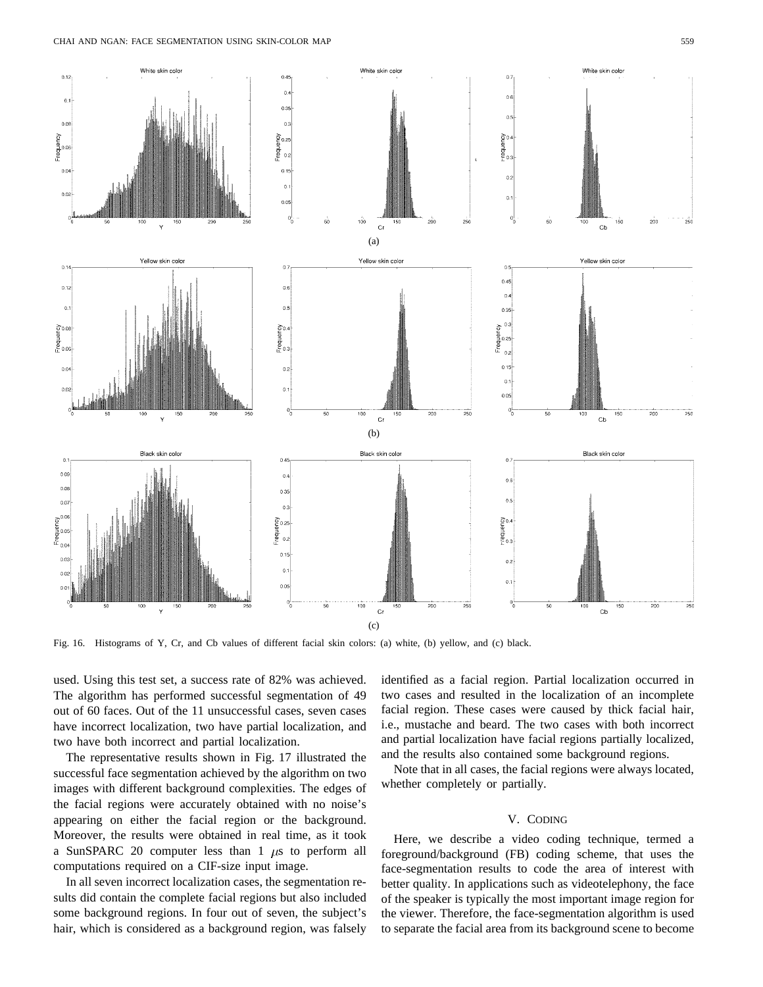

Fig. 16. Histograms of Y, Cr, and Cb values of different facial skin colors: (a) white, (b) yellow, and (c) black.

used. Using this test set, a success rate of 82% was achieved. The algorithm has performed successful segmentation of 49 out of 60 faces. Out of the 11 unsuccessful cases, seven cases have incorrect localization, two have partial localization, and two have both incorrect and partial localization.

The representative results shown in Fig. 17 illustrated the successful face segmentation achieved by the algorithm on two images with different background complexities. The edges of the facial regions were accurately obtained with no noise's appearing on either the facial region or the background. Moreover, the results were obtained in real time, as it took a SunSPARC 20 computer less than 1  $\mu$ s to perform all computations required on a CIF-size input image.

In all seven incorrect localization cases, the segmentation results did contain the complete facial regions but also included some background regions. In four out of seven, the subject's hair, which is considered as a background region, was falsely

identified as a facial region. Partial localization occurred in two cases and resulted in the localization of an incomplete facial region. These cases were caused by thick facial hair, i.e., mustache and beard. The two cases with both incorrect and partial localization have facial regions partially localized, and the results also contained some background regions.

Note that in all cases, the facial regions were always located, whether completely or partially.

#### V. CODING

Here, we describe a video coding technique, termed a foreground/background (FB) coding scheme, that uses the face-segmentation results to code the area of interest with better quality. In applications such as videotelephony, the face of the speaker is typically the most important image region for the viewer. Therefore, the face-segmentation algorithm is used to separate the facial area from its background scene to become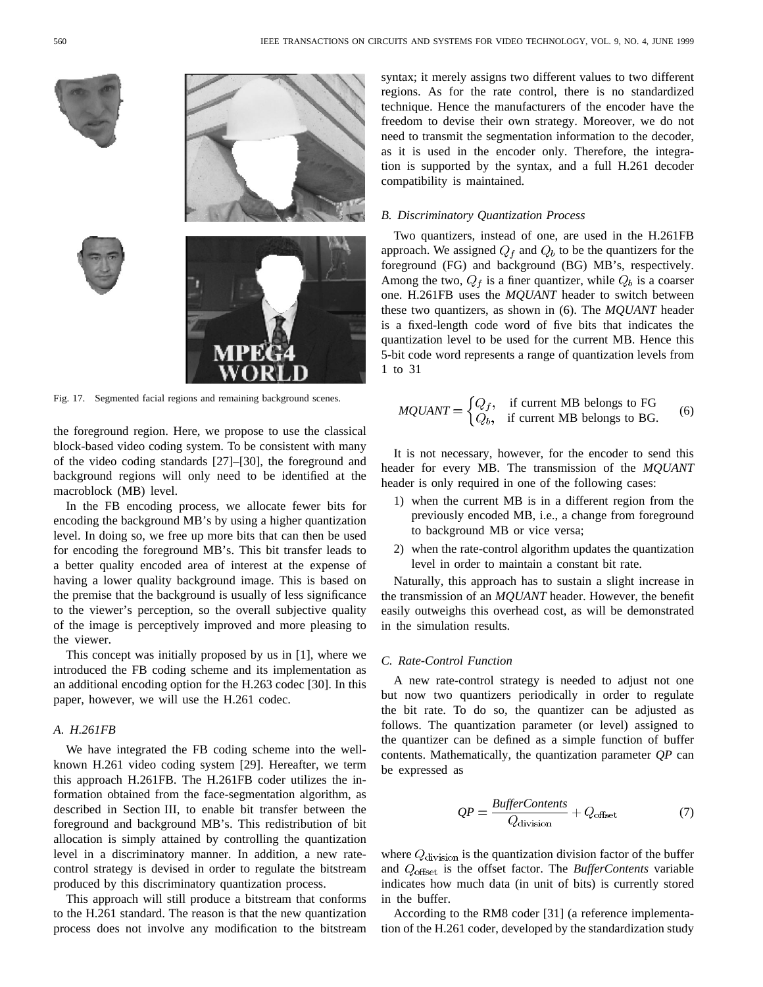

Fig. 17. Segmented facial regions and remaining background scenes.

the foreground region. Here, we propose to use the classical block-based video coding system. To be consistent with many of the video coding standards [27]–[30], the foreground and background regions will only need to be identified at the macroblock (MB) level.

In the FB encoding process, we allocate fewer bits for encoding the background MB's by using a higher quantization level. In doing so, we free up more bits that can then be used for encoding the foreground MB's. This bit transfer leads to a better quality encoded area of interest at the expense of having a lower quality background image. This is based on the premise that the background is usually of less significance to the viewer's perception, so the overall subjective quality of the image is perceptively improved and more pleasing to the viewer.

This concept was initially proposed by us in [1], where we introduced the FB coding scheme and its implementation as an additional encoding option for the H.263 codec [30]. In this paper, however, we will use the H.261 codec.

#### *A. H.261FB*

We have integrated the FB coding scheme into the wellknown H.261 video coding system [29]. Hereafter, we term this approach H.261FB. The H.261FB coder utilizes the information obtained from the face-segmentation algorithm, as described in Section III, to enable bit transfer between the foreground and background MB's. This redistribution of bit allocation is simply attained by controlling the quantization level in a discriminatory manner. In addition, a new ratecontrol strategy is devised in order to regulate the bitstream produced by this discriminatory quantization process.

This approach will still produce a bitstream that conforms to the H.261 standard. The reason is that the new quantization process does not involve any modification to the bitstream syntax; it merely assigns two different values to two different regions. As for the rate control, there is no standardized technique. Hence the manufacturers of the encoder have the freedom to devise their own strategy. Moreover, we do not need to transmit the segmentation information to the decoder, as it is used in the encoder only. Therefore, the integration is supported by the syntax, and a full H.261 decoder compatibility is maintained.

#### *B. Discriminatory Quantization Process*

Two quantizers, instead of one, are used in the H.261FB approach. We assigned  $Q_f$  and  $Q_b$  to be the quantizers for the foreground (FG) and background (BG) MB's, respectively. Among the two,  $Q_f$  is a finer quantizer, while  $Q_b$  is a coarser one. H.261FB uses the *MQUANT* header to switch between these two quantizers, as shown in (6). The *MQUANT* header is a fixed-length code word of five bits that indicates the quantization level to be used for the current MB. Hence this 5-bit code word represents a range of quantization levels from 1 to 31

$$
MQUANT = \begin{cases} Q_f, & \text{if current MB belongs to FG} \\ Q_b, & \text{if current MB belongs to BG.} \end{cases}
$$
 (6)

It is not necessary, however, for the encoder to send this header for every MB. The transmission of the *MQUANT* header is only required in one of the following cases:

- 1) when the current MB is in a different region from the previously encoded MB, i.e., a change from foreground to background MB or vice versa;
- 2) when the rate-control algorithm updates the quantization level in order to maintain a constant bit rate.

Naturally, this approach has to sustain a slight increase in the transmission of an *MQUANT* header. However, the benefit easily outweighs this overhead cost, as will be demonstrated in the simulation results.

#### *C. Rate-Control Function*

A new rate-control strategy is needed to adjust not one but now two quantizers periodically in order to regulate the bit rate. To do so, the quantizer can be adjusted as follows. The quantization parameter (or level) assigned to the quantizer can be defined as a simple function of buffer contents. Mathematically, the quantization parameter *QP* can be expressed as

$$
QP = \frac{BufferContents}{Q_{\text{division}}} + Q_{\text{offset}} \tag{7}
$$

where  $Q_{\text{division}}$  is the quantization division factor of the buffer and  $Q_{\text{offset}}$  is the offset factor. The *BufferContents* variable indicates how much data (in unit of bits) is currently stored in the buffer.

According to the RM8 coder [31] (a reference implementation of the H.261 coder, developed by the standardization study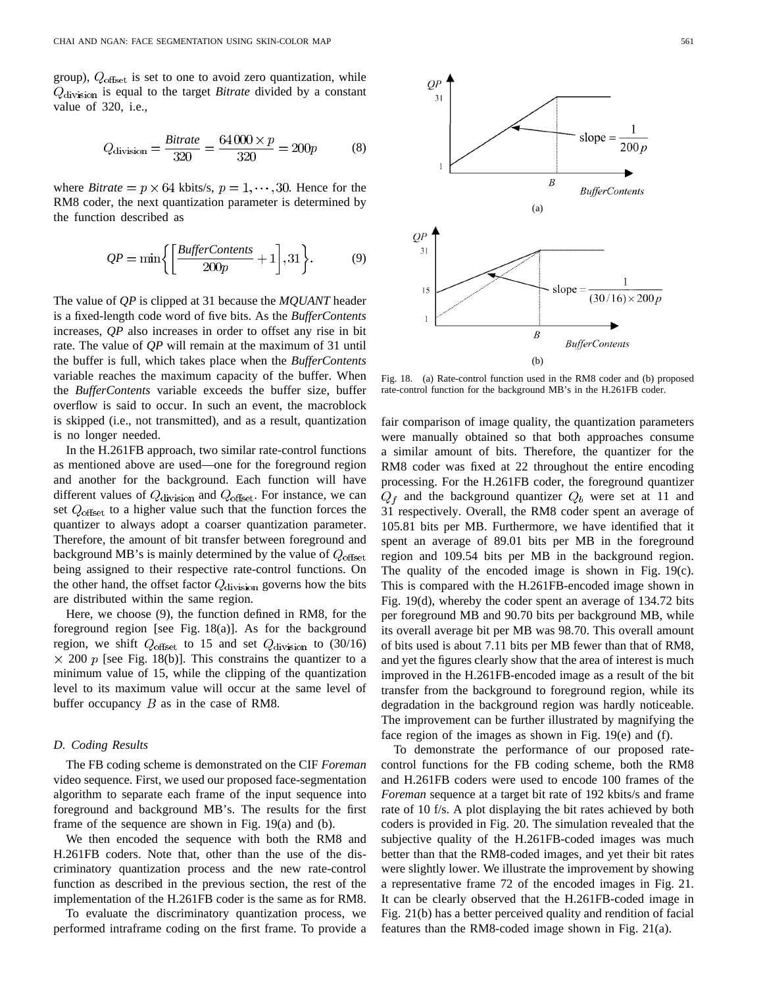group),  $Q_{\text{offset}}$  is set to one to avoid zero quantization, while  $Q_{\text{division}}$  is equal to the target *Bitrate* divided by a constant value of 320, i.e.,

$$
Q_{\text{division}} = \frac{Bitrate}{320} = \frac{64\,000 \times p}{320} = 200p \tag{8}
$$

where *Bitrate* =  $p \times 64$  kbits/s,  $p = 1, \dots, 30$ . Hence for the RM8 coder, the next quantization parameter is determined by the function described as

$$
QP = \min\left\{ \left[ \frac{BufferContents}{200p} + 1 \right], 31 \right\}.
$$
 (9)

The value of *QP* is clipped at 31 because the *MQUANT* header is a fixed-length code word of five bits. As the *BufferContents* increases, *QP* also increases in order to offset any rise in bit rate. The value of *QP* will remain at the maximum of 31 until the buffer is full, which takes place when the *BufferContents* variable reaches the maximum capacity of the buffer. When the *BufferContents* variable exceeds the buffer size, buffer overflow is said to occur. In such an event, the macroblock is skipped (i.e., not transmitted), and as a result, quantization is no longer needed.

In the H.261FB approach, two similar rate-control functions as mentioned above are used—one for the foreground region and another for the background. Each function will have different values of  $Q_{\text{division}}$  and  $Q_{\text{offset}}$ . For instance, we can set  $Q_{\text{offset}}$  to a higher value such that the function forces the quantizer to always adopt a coarser quantization parameter. Therefore, the amount of bit transfer between foreground and background MB's is mainly determined by the value of  $Q_{\text{offset}}$ being assigned to their respective rate-control functions. On the other hand, the offset factor  $Q_{\text{division}}$  governs how the bits are distributed within the same region.

Here, we choose (9), the function defined in RM8, for the foreground region [see Fig. 18(a)]. As for the background region, we shift  $Q_{\text{offset}}$  to 15 and set  $Q_{\text{division}}$  to (30/16)  $\times$  200 p [see Fig. 18(b)]. This constrains the quantizer to a minimum value of 15, while the clipping of the quantization level to its maximum value will occur at the same level of buffer occupancy  $B$  as in the case of RM8.

#### *D. Coding Results*

The FB coding scheme is demonstrated on the CIF *Foreman* video sequence. First, we used our proposed face-segmentation algorithm to separate each frame of the input sequence into foreground and background MB's. The results for the first frame of the sequence are shown in Fig. 19(a) and (b).

We then encoded the sequence with both the RM8 and H.261FB coders. Note that, other than the use of the discriminatory quantization process and the new rate-control function as described in the previous section, the rest of the implementation of the H.261FB coder is the same as for RM8.

To evaluate the discriminatory quantization process, we performed intraframe coding on the first frame. To provide a



Fig. 18. (a) Rate-control function used in the RM8 coder and (b) proposed rate-control function for the background MB's in the H.261FB coder.

fair comparison of image quality, the quantization parameters were manually obtained so that both approaches consume a similar amount of bits. Therefore, the quantizer for the RM8 coder was fixed at 22 throughout the entire encoding processing. For the H.261FB coder, the foreground quantizer  $Q_f$  and the background quantizer  $Q_b$  were set at 11 and 31 respectively. Overall, the RM8 coder spent an average of 105.81 bits per MB. Furthermore, we have identified that it spent an average of 89.01 bits per MB in the foreground region and 109.54 bits per MB in the background region. The quality of the encoded image is shown in Fig. 19(c). This is compared with the H.261FB-encoded image shown in Fig. 19(d), whereby the coder spent an average of 134.72 bits per foreground MB and 90.70 bits per background MB, while its overall average bit per MB was 98.70. This overall amount of bits used is about 7.11 bits per MB fewer than that of RM8, and yet the figures clearly show that the area of interest is much improved in the H.261FB-encoded image as a result of the bit transfer from the background to foreground region, while its degradation in the background region was hardly noticeable. The improvement can be further illustrated by magnifying the face region of the images as shown in Fig. 19(e) and (f).

To demonstrate the performance of our proposed ratecontrol functions for the FB coding scheme, both the RM8 and H.261FB coders were used to encode 100 frames of the *Foreman* sequence at a target bit rate of 192 kbits/s and frame rate of 10 f/s. A plot displaying the bit rates achieved by both coders is provided in Fig. 20. The simulation revealed that the subjective quality of the H.261FB-coded images was much better than that the RM8-coded images, and yet their bit rates were slightly lower. We illustrate the improvement by showing a representative frame 72 of the encoded images in Fig. 21. It can be clearly observed that the H.261FB-coded image in Fig. 21(b) has a better perceived quality and rendition of facial features than the RM8-coded image shown in Fig. 21(a).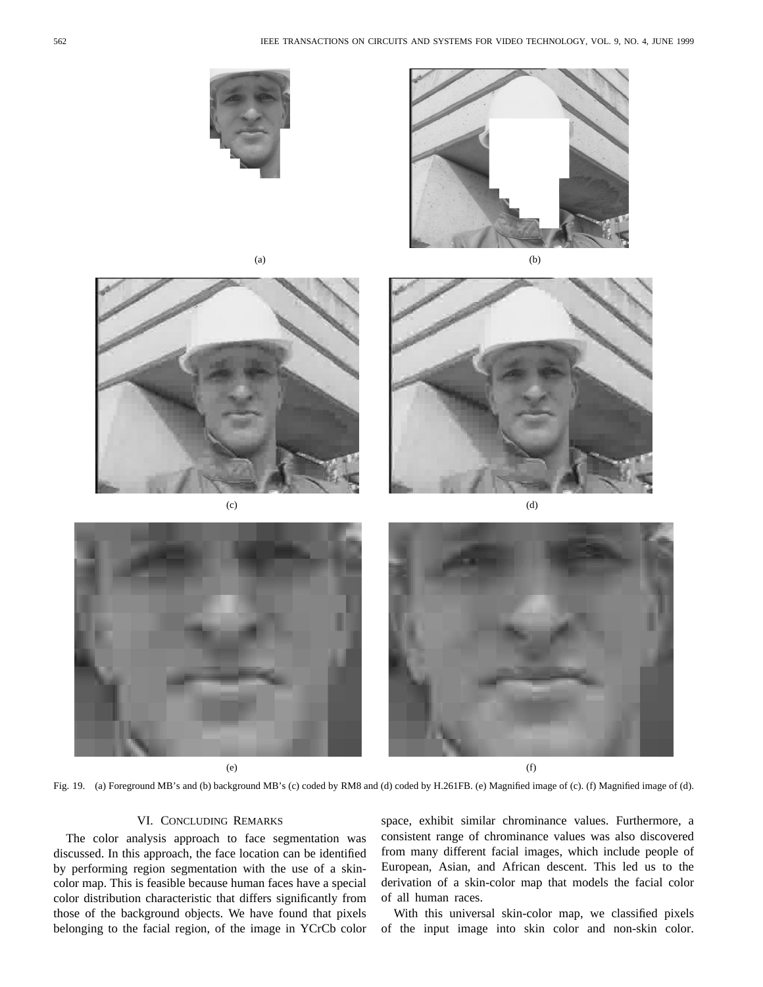









Fig. 19. (a) Foreground MB's and (b) background MB's (c) coded by RM8 and (d) coded by H.261FB. (e) Magnified image of (c). (f) Magnified image of (d).

## VI. CONCLUDING REMARKS

The color analysis approach to face segmentation was discussed. In this approach, the face location can be identified by performing region segmentation with the use of a skincolor map. This is feasible because human faces have a special color distribution characteristic that differs significantly from those of the background objects. We have found that pixels belonging to the facial region, of the image in YCrCb color

space, exhibit similar chrominance values. Furthermore, a consistent range of chrominance values was also discovered from many different facial images, which include people of European, Asian, and African descent. This led us to the derivation of a skin-color map that models the facial color of all human races.

With this universal skin-color map, we classified pixels of the input image into skin color and non-skin color.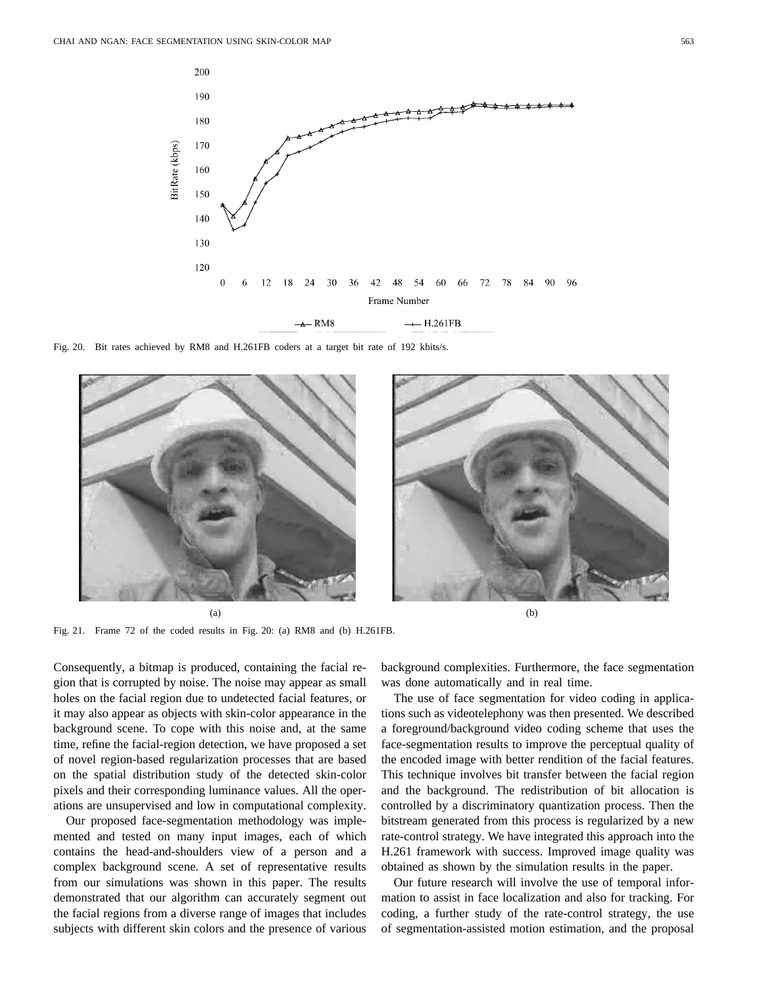

Fig. 20. Bit rates achieved by RM8 and H.261FB coders at a target bit rate of 192 kbits/s.



Fig. 21. Frame 72 of the coded results in Fig. 20: (a) RM8 and (b) H.261FB.

Consequently, a bitmap is produced, containing the facial region that is corrupted by noise. The noise may appear as small holes on the facial region due to undetected facial features, or it may also appear as objects with skin-color appearance in the background scene. To cope with this noise and, at the same time, refine the facial-region detection, we have proposed a set of novel region-based regularization processes that are based on the spatial distribution study of the detected skin-color pixels and their corresponding luminance values. All the operations are unsupervised and low in computational complexity.

Our proposed face-segmentation methodology was implemented and tested on many input images, each of which contains the head-and-shoulders view of a person and a complex background scene. A set of representative results from our simulations was shown in this paper. The results demonstrated that our algorithm can accurately segment out the facial regions from a diverse range of images that includes subjects with different skin colors and the presence of various background complexities. Furthermore, the face segmentation was done automatically and in real time.

The use of face segmentation for video coding in applications such as videotelephony was then presented. We described a foreground/background video coding scheme that uses the face-segmentation results to improve the perceptual quality of the encoded image with better rendition of the facial features. This technique involves bit transfer between the facial region and the background. The redistribution of bit allocation is controlled by a discriminatory quantization process. Then the bitstream generated from this process is regularized by a new rate-control strategy. We have integrated this approach into the H.261 framework with success. Improved image quality was obtained as shown by the simulation results in the paper.

Our future research will involve the use of temporal information to assist in face localization and also for tracking. For coding, a further study of the rate-control strategy, the use of segmentation-assisted motion estimation, and the proposal